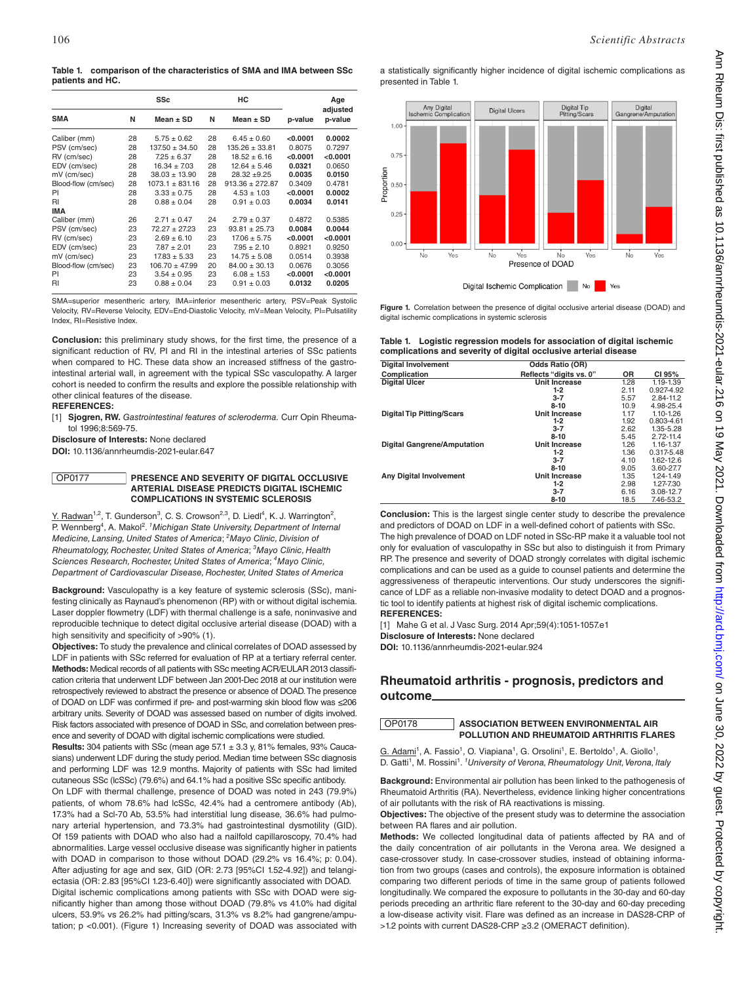**Table 1. comparison of the characteristics of SMA and IMA between SSc patients and HC.**

|                     |    | <b>SSc</b>         |    | HС                  |          | Age      |
|---------------------|----|--------------------|----|---------------------|----------|----------|
|                     |    |                    |    |                     |          | adjusted |
| <b>SMA</b>          | N  | Mean $\pm$ SD      | N  | Mean $\pm$ SD       | p-value  | p-value  |
| Caliber (mm)        | 28 | $5.75 \pm 0.62$    | 28 | $6.45 \pm 0.60$     | < 0.0001 | 0.0002   |
| PSV (cm/sec)        | 28 | $137.50 \pm 34.50$ | 28 | $135.26 + 33.81$    | 0.8075   | 0.7297   |
| RV (cm/sec)         | 28 | $7.25 \pm 6.37$    | 28 | $18.52 \pm 6.16$    | < 0.0001 | < 0.0001 |
| EDV (cm/sec)        | 28 | $16.34 \pm 7.03$   | 28 | $12.64 + 5.46$      | 0.0321   | 0.0650   |
| mV (cm/sec)         | 28 | $38.03 \pm 13.90$  | 28 | $28.32 + 9.25$      | 0.0035   | 0.0150   |
| Blood-flow (cm/sec) | 28 | $1073.1 + 831.16$  | 28 | $913.36 \pm 272.87$ | 0.3409   | 0.4781   |
| PI                  | 28 | $3.33 \pm 0.75$    | 28 | $4.53 \pm 1.03$     | < 0.0001 | 0.0002   |
| RI                  | 28 | $0.88 \pm 0.04$    | 28 | $0.91 \pm 0.03$     | 0.0034   | 0.0141   |
| <b>IMA</b>          |    |                    |    |                     |          |          |
| Caliber (mm)        | 26 | $2.71 \pm 0.47$    | 24 | $2.79 + 0.37$       | 0.4872   | 0.5385   |
| PSV (cm/sec)        | 23 | $72.27 + 27.23$    | 23 | $93.81 + 25.73$     | 0.0084   | 0.0044   |
| RV (cm/sec)         | 23 | $2.69 + 6.10$      | 23 | $17.06 + 5.75$      | < 0.0001 | < 0.0001 |
| EDV (cm/sec)        | 23 | $7.87 \pm 2.01$    | 23 | $7.95 \pm 2.10$     | 0.8921   | 0.9250   |
| mV (cm/sec)         | 23 | $17.83 \pm 5.33$   | 23 | $14.75 \pm 5.08$    | 0.0514   | 0.3938   |
| Blood-flow (cm/sec) | 23 | $106.70 \pm 47.99$ | 20 | $84.00 \pm 30.13$   | 0.0676   | 0.3056   |
| PI                  | 23 | $3.54 \pm 0.95$    | 23 | $6.08 \pm 1.53$     | < 0.0001 | < 0.0001 |
| RI                  | 23 | $0.88 \pm 0.04$    | 23 | $0.91 \pm 0.03$     | 0.0132   | 0.0205   |

SMA=superior mesentheric artery, IMA=inferior mesentheric artery, PSV=Peak Systolic Velocity, RV=Reverse Velocity, EDV=End-Diastolic Velocity, mV=Mean Velocity, PI=Pulsatility Index, RI=Resistive Index.

**Conclusion:** this preliminary study shows, for the first time, the presence of a significant reduction of RV, PI and RI in the intestinal arteries of SSc patients when compared to HC. These data show an increased stiffness of the gastrointestinal arterial wall, in agreement with the typical SSc vasculopathy. A larger cohort is needed to confirm the results and explore the possible relationship with other clinical features of the disease.

**REFERENCES:** 

[1] **Sjogren, RW.** *Gastrointestinal features of scleroderma.* Curr Opin Rheumatol 1996;8:569-75.

**Disclosure of Interests:** None declared **DOI:** 10.1136/annrheumdis-2021-eular.647

## OP0177 **PRESENCE AND SEVERITY OF DIGITAL OCCLUSIVE ARTERIAL DISEASE PREDICTS DIGITAL ISCHEMIC COMPLICATIONS IN SYSTEMIC SCLEROSIS**

 $Y.$  Radwan<sup>1,2</sup>, T. Gunderson<sup>3</sup>, C. S. Crowson<sup>2,3</sup>, D. Liedl<sup>4</sup>, K. J. Warrington<sup>2</sup>, P. Wennberg<sup>4</sup>, A. Makol<sup>2</sup>. <sup>*1</sup> Michigan State University, Department of Internal*</sup> *Medicine, Lansing, United States of America*; *<sup>2</sup> Mayo Clinic, Division of Rheumatology, Rochester, United States of America*; *<sup>3</sup> Mayo Clinic, Health Sciences Research, Rochester, United States of America*; *<sup>4</sup> Mayo Clinic, Department of Cardiovascular Disease, Rochester, United States of America*

**Background:** Vasculopathy is a key feature of systemic sclerosis (SSc), manifesting clinically as Raynaud's phenomenon (RP) with or without digital ischemia. Laser doppler flowmetry (LDF) with thermal challenge is a safe, noninvasive and reproducible technique to detect digital occlusive arterial disease (DOAD) with a high sensitivity and specificity of >90% (1).

**Objectives:** To study the prevalence and clinical correlates of DOAD assessed by LDF in patients with SSc referred for evaluation of RP at a tertiary referral center. **Methods:** Medical records of all patients with SSc meeting ACR/EULAR 2013 classification criteria that underwent LDF between Jan 2001-Dec 2018 at our institution were retrospectively reviewed to abstract the presence or absence of DOAD. The presence of DOAD on LDF was confirmed if pre- and post-warming skin blood flow was ≤206 arbitrary units. Severity of DOAD was assessed based on number of digits involved. Risk factors associated with presence of DOAD in SSc, and correlation between presence and severity of DOAD with digital ischemic complications were studied.

**Results:** 304 patients with SSc (mean age 57.1 ± 3.3 y, 81% females, 93% Caucasians) underwent LDF during the study period. Median time between SSc diagnosis and performing LDF was 12.9 months. Majority of patients with SSc had limited cutaneous SSc (lcSSc) (79.6%) and 64.1% had a positive SSc specific antibody.

On LDF with thermal challenge, presence of DOAD was noted in 243 (79.9%) patients, of whom 78.6% had lcSSc, 42.4% had a centromere antibody (Ab), 17.3% had a Scl-70 Ab, 53.5% had interstitial lung disease, 36.6% had pulmonary arterial hypertension, and 73.3% had gastrointestinal dysmotility (GID). Of 159 patients with DOAD who also had a nailfold capillaroscopy, 70.4% had abnormalities. Large vessel occlusive disease was significantly higher in patients with DOAD in comparison to those without DOAD (29.2% vs 16.4%; p: 0.04). After adjusting for age and sex, GID (OR: 2.73 [95%CI 1.52-4.92]) and telangiectasia (OR: 2.83 [95%CI 1.23-6.40]) were significantly associated with DOAD. Digital ischemic complications among patients with SSc with DOAD were significantly higher than among those without DOAD (79.8% vs 41.0% had digital ulcers, 53.9% vs 26.2% had pitting/scars, 31.3% vs 8.2% had gangrene/amputation; p <0.001). (Figure 1) Increasing severity of DOAD was associated with a statistically significantly higher incidence of digital ischemic complications as presented in Table 1.



Figure 1. Correlation between the presence of digital occlusive arterial disease (DOAD) and digital ischemic complications in systemic sclerosis

| Table 1. Logistic regression models for association of digital ischemic |
|-------------------------------------------------------------------------|
| complications and severity of digital occlusive arterial disease        |

| <b>Digital Involvement</b>         | <b>Odds Ratio (OR)</b>  |      |               |
|------------------------------------|-------------------------|------|---------------|
| Complication                       | Reflects "digits vs. 0" | ΟR   | CI 95%        |
| <b>Digital Ulcer</b>               | Unit Increase           | 1.28 | 1.19-1.39     |
|                                    | $1-2$                   | 2.11 | 0.927-4.92    |
|                                    | $3 - 7$                 | 5.57 | 2.84-11.2     |
|                                    | $8 - 10$                | 10.9 | 4.98-25.4     |
| <b>Digital Tip Pitting/Scars</b>   | <b>Unit Increase</b>    | 1.17 | $1.10 - 1.26$ |
|                                    | $1-2$                   | 1.92 | 0.803-4.61    |
|                                    | $3 - 7$                 | 2.62 | 1.35-5.28     |
|                                    | $8 - 10$                | 5.45 | $2.72 - 11.4$ |
| <b>Digital Gangrene/Amputation</b> | <b>Unit Increase</b>    | 1.26 | 1.16-1.37     |
|                                    | $1-2$                   | 1.36 | 0.317-5.48    |
|                                    | $3 - 7$                 | 4.10 | $1.62 - 12.6$ |
|                                    | $8 - 10$                | 9.05 | 3.60-27.7     |
| <b>Any Digital Involvement</b>     | Unit Increase           | 1.35 | 1.24-1.49     |
|                                    | $1-2$                   | 2.98 | 1.27-7.30     |
|                                    | $3 - 7$                 | 6.16 | 3.08-12.7     |
|                                    | $8 - 10$                | 18.5 | 7.46-53.2     |

**Conclusion:** This is the largest single center study to describe the prevalence and predictors of DOAD on LDF in a well-defined cohort of patients with SSc. The high prevalence of DOAD on LDF noted in SSc-RP make it a valuable tool not only for evaluation of vasculopathy in SSc but also to distinguish it from Primary RP. The presence and severity of DOAD strongly correlates with digital ischemic complications and can be used as a guide to counsel patients and determine the aggressiveness of therapeutic interventions. Our study underscores the significance of LDF as a reliable non-invasive modality to detect DOAD and a prognostic tool to identify patients at highest risk of digital ischemic complications. **REFERENCES:** 

[1] Mahe G et al. J Vasc Surg. 2014 Apr;59(4):1051-1057.e1 **Disclosure of Interests:** None declared **DOI:** 10.1136/annrheumdis-2021-eular.924

## **Rheumatoid arthritis - prognosis, predictors and outcome**

OP0178 **ASSOCIATION BETWEEN ENVIRONMENTAL AIR POLLUTION AND RHEUMATOID ARTHRITIS FLARES**

 $G.$  Adami<sup>1</sup>, A. Fassio<sup>1</sup>, O. Viapiana<sup>1</sup>, G. Orsolini<sup>1</sup>, E. Bertoldo<sup>1</sup>, A. Giollo<sup>1</sup>, D. Gatti<sup>1</sup>, M. Rossini<sup>1</sup>. <sup>*1</sup> University of Verona, Rheumatology Unit, Verona, Italy*</sup>

**Background:** Environmental air pollution has been linked to the pathogenesis of Rheumatoid Arthritis (RA). Nevertheless, evidence linking higher concentrations of air pollutants with the risk of RA reactivations is missing.

**Objectives:** The objective of the present study was to determine the association between RA flares and air pollution.

**Methods:** We collected longitudinal data of patients affected by RA and of the daily concentration of air pollutants in the Verona area. We designed a case-crossover study. In case-crossover studies, instead of obtaining information from two groups (cases and controls), the exposure information is obtained comparing two different periods of time in the same group of patients followed longitudinally. We compared the exposure to pollutants in the 30-day and 60-day periods preceding an arthritic flare referent to the 30-day and 60-day preceding a low-disease activity visit. Flare was defined as an increase in DAS28-CRP of >1.2 points with current DAS28-CRP ≥3.2 (OMERACT definition).